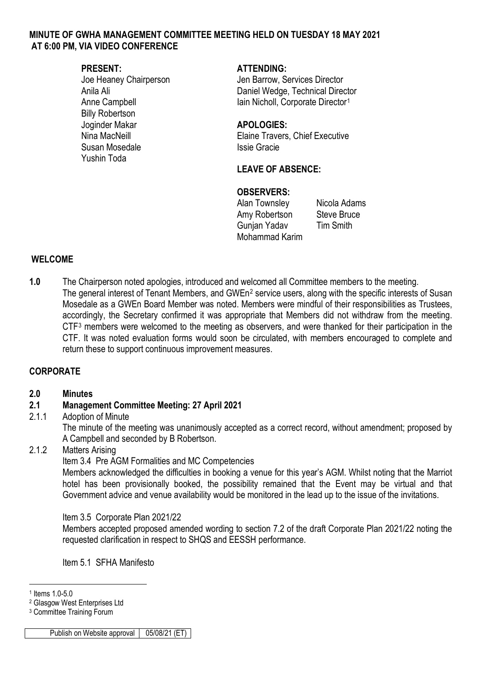#### **MINUTE OF GWHA MANAGEMENT COMMITTEE MEETING HELD ON TUESDAY 18 MAY 2021 AT 6:00 PM, VIA VIDEO CONFERENCE**

Billy Robertson Joginder Makar **APOLOGIES:** Susan Mosedale **Issie Gracie** Yushin Toda

#### **PRESENT: ATTENDING:**

Joe Heaney Chairperson Jen Barrow, Services Director Anila Ali **Daniel Wedge, Technical Director** Anne Campbell **Iain Nicholl**, Corporate Director<sup>[1](#page-0-0)</sup>

Nina MacNeill Elaine Travers, Chief Executive

# **LEAVE OF ABSENCE:**

#### **OBSERVERS:**

Alan Townsley Nicola Adams Amy Robertson Steve Bruce Gunjan Yadav Tim Smith Mohammad Karim

#### **WELCOME**

**1.0** The Chairperson noted apologies, introduced and welcomed all Committee members to the meeting. The general interest of Tenant Members, and GWEn<sup>[2](#page-0-1)</sup> service users, along with the specific interests of Susan Mosedale as a GWEn Board Member was noted. Members were mindful of their responsibilities as Trustees, accordingly, the Secretary confirmed it was appropriate that Members did not withdraw from the meeting. CT[F3](#page-0-2) members were welcomed to the meeting as observers, and were thanked for their participation in the CTF. It was noted evaluation forms would soon be circulated, with members encouraged to complete and return these to support continuous improvement measures.

### **CORPORATE**

#### **2.0 Minutes**

# **2.1 Management Committee Meeting: 27 April 2021**

### Adoption of Minute

The minute of the meeting was unanimously accepted as a correct record, without amendment; proposed by A Campbell and seconded by B Robertson.

#### 2.1.2 Matters Arising

Item 3.4 Pre AGM Formalities and MC Competencies

Members acknowledged the difficulties in booking a venue for this year's AGM. Whilst noting that the Marriot hotel has been provisionally booked, the possibility remained that the Event may be virtual and that Government advice and venue availability would be monitored in the lead up to the issue of the invitations.

Item 3.5 Corporate Plan 2021/22

Members accepted proposed amended wording to section 7.2 of the draft Corporate Plan 2021/22 noting the requested clarification in respect to SHQS and EESSH performance.

Item 5.1 SFHA Manifesto

-

Publish on Website approval 05/08/21 (ET)

<span id="page-0-0"></span><sup>1</sup> Items 1.0-5.0

<span id="page-0-1"></span><sup>2</sup> Glasgow West Enterprises Ltd

<span id="page-0-2"></span><sup>3</sup> Committee Training Forum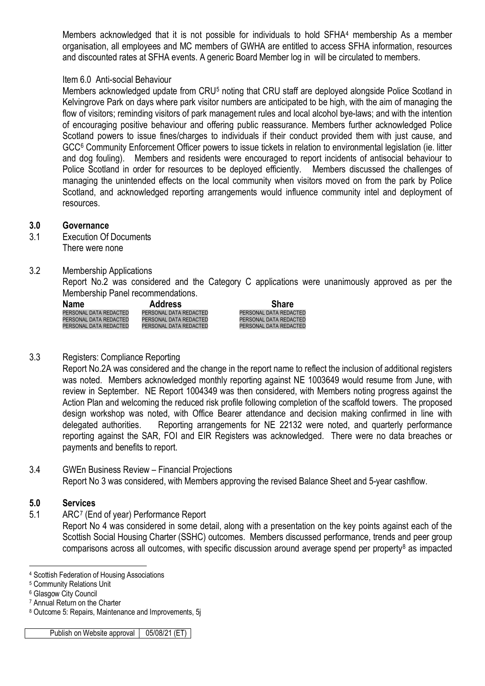Members acknowledged that it is not possible for individuals to hold SFHA[4](#page-1-0) membership As a member organisation, all employees and MC members of GWHA are entitled to access SFHA information, resources and discounted rates at SFHA events. A generic Board Member log in will be circulated to members.

#### Item 6.0 Anti-social Behaviour

Members acknowledged update from CRU<sup>[5](#page-1-1)</sup> noting that CRU staff are deployed alongside Police Scotland in Kelvingrove Park on days where park visitor numbers are anticipated to be high, with the aim of managing the flow of visitors; reminding visitors of park management rules and local alcohol bye-laws; and with the intention of encouraging positive behaviour and offering public reassurance. Members further acknowledged Police Scotland powers to issue fines/charges to individuals if their conduct provided them with just cause, and GCC[6](#page-1-2) Community Enforcement Officer powers to issue tickets in relation to environmental legislation (ie. litter and dog fouling). Members and residents were encouraged to report incidents of antisocial behaviour to Police Scotland in order for resources to be deployed efficiently. Members discussed the challenges of managing the unintended effects on the local community when visitors moved on from the park by Police Scotland, and acknowledged reporting arrangements would influence community intel and deployment of resources.

#### **3.0 Governance**

- 3.1 Execution Of Documents There were none
- 3.2 Membership Applications

Report No.2 was considered and the Category C applications were unanimously approved as per the Membership Panel recommendations.

| <b>Name</b>            | <b>Address</b>         | <b>Share</b>           |
|------------------------|------------------------|------------------------|
| PERSONAL DATA REDACTED | PERSONAL DATA REDACTED | PERSONAL DATA REDACTED |
| PERSONAL DATA REDACTED | PERSONAL DATA REDACTED | PERSONAL DATA REDACTED |
| PERSONAL DATA REDACTED | PERSONAL DATA REDACTED | PERSONAL DATA REDACTED |

#### 3.3 Registers: Compliance Reporting

Report No.2A was considered and the change in the report name to reflect the inclusion of additional registers was noted. Members acknowledged monthly reporting against NE 1003649 would resume from June, with review in September. NE Report 1004349 was then considered, with Members noting progress against the Action Plan and welcoming the reduced risk profile following completion of the scaffold towers. The proposed design workshop was noted, with Office Bearer attendance and decision making confirmed in line with delegated authorities. Reporting arrangements for NE 22132 were noted, and quarterly performance reporting against the SAR, FOI and EIR Registers was acknowledged. There were no data breaches or payments and benefits to report.

#### 3.4 GWEn Business Review – Financial Projections Report No 3 was considered, with Members approving the revised Balance Sheet and 5-year cashflow.

#### **5.0 Services**

5.1 ARC[7](#page-1-3) (End of year) Performance Report

Report No 4 was considered in some detail, along with a presentation on the key points against each of the Scottish Social Housing Charter (SSHC) outcomes. Members discussed performance, trends and peer group comparisons across all outcomes, with specific discussion around average spend per property<sup>8</sup> as impacted

<sup>-</sup><sup>4</sup> Scottish Federation of Housing Associations

<span id="page-1-1"></span><span id="page-1-0"></span><sup>5</sup> Community Relations Unit

<span id="page-1-2"></span><sup>6</sup> Glasgow City Council

<span id="page-1-3"></span><sup>7</sup> Annual Return on the Charter

<span id="page-1-4"></span><sup>8</sup> Outcome 5: Repairs, Maintenance and Improvements, 5j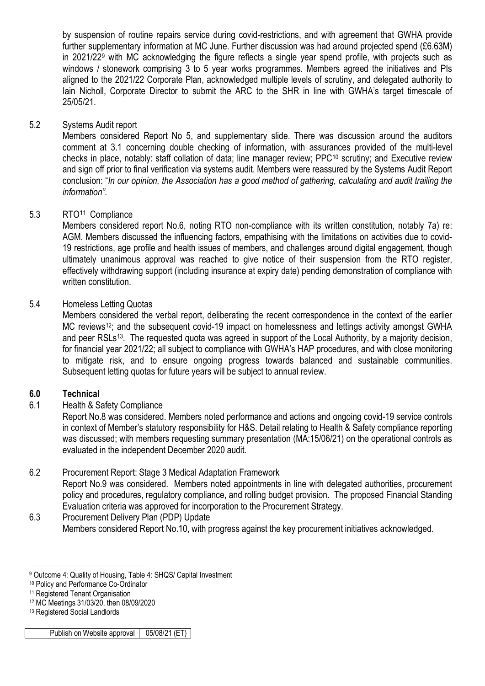by suspension of routine repairs service during covid-restrictions, and with agreement that GWHA provide further supplementary information at MC June. Further discussion was had around projected spend (£6.63M) in 2021/22[9](#page-2-0) with MC acknowledging the figure reflects a single year spend profile, with projects such as windows / stonework comprising 3 to 5 year works programmes. Members agreed the initiatives and PIs aligned to the 2021/22 Corporate Plan, acknowledged multiple levels of scrutiny, and delegated authority to Iain Nicholl, Corporate Director to submit the ARC to the SHR in line with GWHA's target timescale of 25/05/21.

# 5.2 Systems Audit report

Members considered Report No 5, and supplementary slide. There was discussion around the auditors comment at 3.1 concerning double checking of information, with assurances provided of the multi-level checks in place, notably: staff collation of data; line manager review; PPC[10](#page-2-1) scrutiny; and Executive review and sign off prior to final verification via systems audit. Members were reassured by the Systems Audit Report conclusion: "*In our opinion, the Association has a good method of gathering, calculating and audit trailing the information".*

### 5.3 RTO[11](#page-2-2) Compliance

Members considered report No.6, noting RTO non-compliance with its written constitution, notably 7a) re: AGM. Members discussed the influencing factors, empathising with the limitations on activities due to covid-19 restrictions, age profile and health issues of members, and challenges around digital engagement, though ultimately unanimous approval was reached to give notice of their suspension from the RTO register, effectively withdrawing support (including insurance at expiry date) pending demonstration of compliance with written constitution.

### 5.4 Homeless Letting Quotas

Members considered the verbal report, deliberating the recent correspondence in the context of the earlier MC reviews<sup>[12](#page-2-3)</sup>; and the subsequent covid-19 impact on homelessness and lettings activity amongst GWHA and peer RSLs<sup>13</sup>. The requested quota was agreed in support of the Local Authority, by a majority decision, for financial year 2021/22; all subject to compliance with GWHA's HAP procedures, and with close monitoring to mitigate risk, and to ensure ongoing progress towards balanced and sustainable communities. Subsequent letting quotas for future years will be subject to annual review.

### **6.0 Technical**

# 6.1 Health & Safety Compliance

Report No.8 was considered. Members noted performance and actions and ongoing covid-19 service controls in context of Member's statutory responsibility for H&S. Detail relating to Health & Safety compliance reporting was discussed; with members requesting summary presentation (MA:15/06/21) on the operational controls as evaluated in the independent December 2020 audit.

# 6.2 Procurement Report: Stage 3 Medical Adaptation Framework

Report No.9 was considered. Members noted appointments in line with delegated authorities, procurement policy and procedures, regulatory compliance, and rolling budget provision. The proposed Financial Standing Evaluation criteria was approved for incorporation to the Procurement Strategy.

6.3 Procurement Delivery Plan (PDP) Update Members considered Report No.10, with progress against the key procurement initiatives acknowledged.

<sup>-</sup><sup>9</sup> Outcome 4: Quality of Housing, Table 4: SHQS/ Capital Investment

<span id="page-2-1"></span><span id="page-2-0"></span><sup>10</sup> Policy and Performance Co-Ordinator

<span id="page-2-2"></span><sup>&</sup>lt;sup>11</sup> Registered Tenant Organisation

<span id="page-2-3"></span><sup>12</sup> MC Meetings 31/03/20, then 08/09/2020

<span id="page-2-4"></span><sup>13</sup> Registered Social Landlords